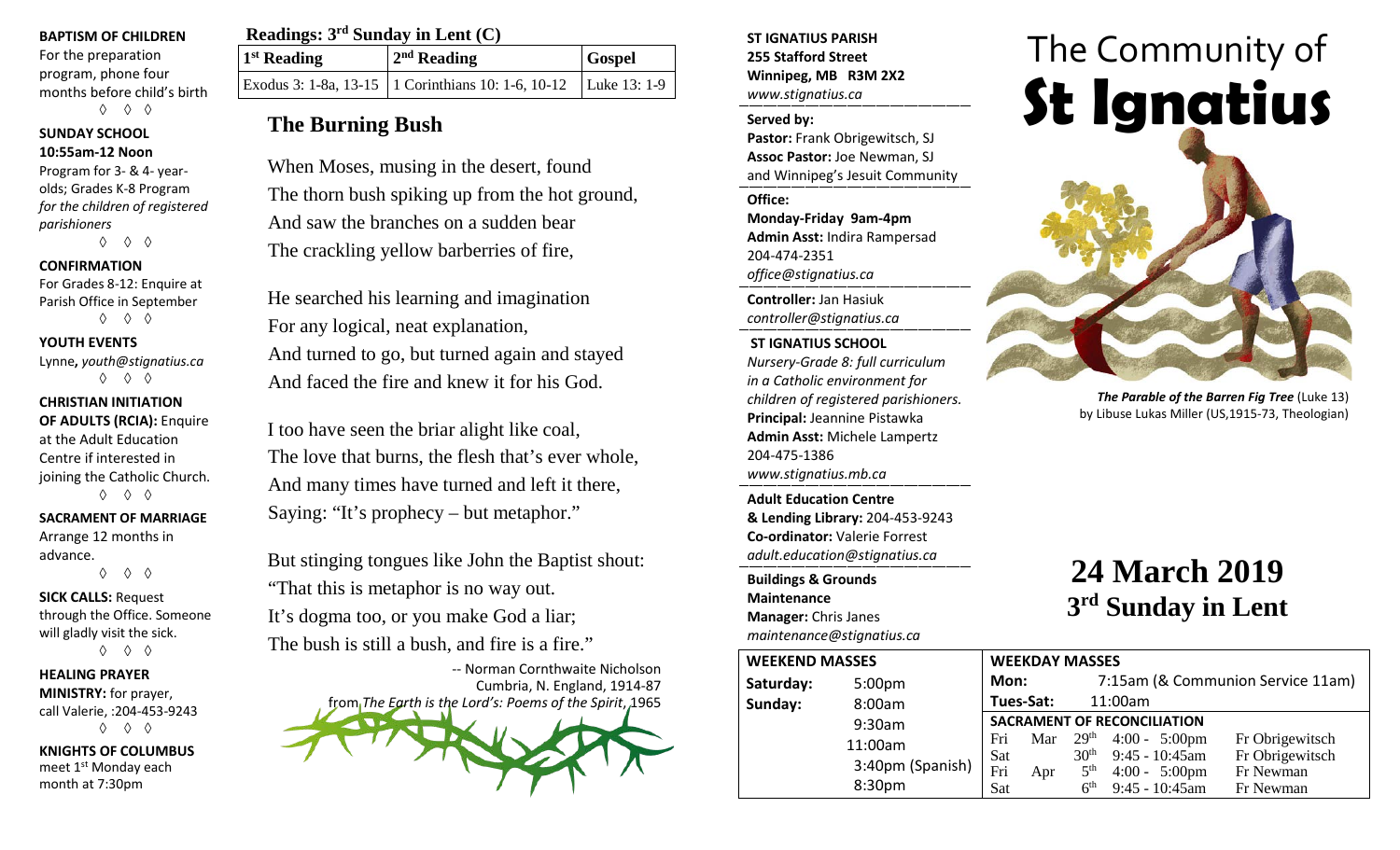#### **BAPTISM OF CHILDREN**

For the preparation program, phone four months before child's birth ◊ ◊ ◊

## **SUNDAY SCHOOL 10:55am-12 Noon**

Program for 3- & 4- yearolds; Grades K-8 Program *for the children of registered parishioners* ◊ ◊ ◊

#### **CONFIRMATION**

For Grades 8-12: Enquire at Parish Office in September ◊ ◊ ◊

#### **YOUTH EVENTS**

Lynne**,** *youth@stignatius.ca* ◊ ◊ ◊

## **CHRISTIAN INITIATION**

**OF ADULTS (RCIA):** Enquire at the Adult Education Centre if interested in joining the Catholic Church. ◊ ◊ ◊

## **SACRAMENT OF MARRIAGE**

Arrange 12 months in advance. ◊ ◊ ◊

## **SICK CALLS:** Request

through the Office. Someone will gladly visit the sick. ◊ ◊ ◊

#### **HEALING PRAYER MINISTRY:** for prayer, call Valerie, :204-453-9243 ◊ ◊ ◊

**KNIGHTS OF COLUMBUS** meet 1st Monday each month at 7:30pm

| Readings: $3rd$ Sunday in Lent (C) |                                                                     |               |  |
|------------------------------------|---------------------------------------------------------------------|---------------|--|
| 1 <sup>st</sup> Reading            | $2nd$ Reading                                                       | <b>Gospel</b> |  |
|                                    | Exodus 3: 1-8a, 13-15   1 Corinthians 10: 1-6, 10-12   Luke 13: 1-9 |               |  |

## **The Burning Bush**

When Moses, musing in the desert, found The thorn bush spiking up from the hot ground, And saw the branches on a sudden bear The crackling yellow barberries of fire,

He searched his learning and imagination For any logical, neat explanation, And turned to go, but turned again and stayed And faced the fire and knew it for his God.

I too have seen the briar alight like coal, The love that burns, the flesh that's ever whole, And many times have turned and left it there, Saying: "It's prophecy – but metaphor."

But stinging tongues like John the Baptist shout: "That this is metaphor is no way out. It's dogma too, or you make God a liar; The bush is still a bush, and fire is a fire."

-- Norman Cornthwaite Nicholson Cumbria, N. England, 1914-87 from *The Earth is the Lord's: Poems of the Spirit*, 1965

**ST IGNATIUS PARISH 255 Stafford Street Winnipeg, MB R3M 2X2** *www.stignatius.ca*

#### **Served by:**

**Pastor:** Frank Obrigewitsch, SJ **Assoc Pastor:** Joe Newman, SJ and Winnipeg's Jesuit Community

**Office:**

**Monday-Friday 9am-4pm Admin Asst:** Indira Rampersad 204-474-2351 *office@stignatius.ca*

**Controller:** Jan Hasiuk *controller@stignatius.ca*

#### **ST IGNATIUS SCHOOL**

*Nursery-Grade 8: full curriculum in a Catholic environment for children of registered parishioners.* **Principal:** Jeannine Pistawka **Admin Asst:** Michele Lampertz 204-475-1386 *www.stignatius.mb.ca*

**Adult Education Centre & Lending Library:** 204-453-9243 **Co-ordinator:** Valerie Forrest *adult.education@stignatius.ca*

**Buildings & Grounds Maintenance Manager:** Chris Janes *maintenance@stignatius.ca*





# **24 March 2019 3rd Sunday in Lent**

| <b>WEEKEND MASSES</b> |                    |                                    | <b>WEEKDAY MASSES</b> |                  |                         |                                   |  |
|-----------------------|--------------------|------------------------------------|-----------------------|------------------|-------------------------|-----------------------------------|--|
| Saturday:             | 5:00 <sub>pm</sub> | Mon:                               |                       |                  |                         | 7:15am (& Communion Service 11am) |  |
| Sunday:               | 8:00am             |                                    | Tues-Sat:             |                  | 11:00am                 |                                   |  |
|                       | 9:30am             | <b>SACRAMENT OF RECONCILIATION</b> |                       |                  |                         |                                   |  |
|                       | 11:00am            | Fri                                | Mar                   | 29 <sup>th</sup> | $4:00 - 5:00 \text{pm}$ | Fr Obrigewitsch                   |  |
|                       | 3:40pm (Spanish)   | Sat                                |                       | 30 <sup>th</sup> | $9:45 - 10:45$ am       | Fr Obrigewitsch                   |  |
|                       |                    | Fri                                | Apr                   | 5 <sup>th</sup>  | $4:00 - 5:00 \text{pm}$ | Fr Newman                         |  |
|                       | 8:30pm             | Sat                                |                       | 6 <sup>th</sup>  | $9:45 - 10:45$ am       | Fr Newman                         |  |